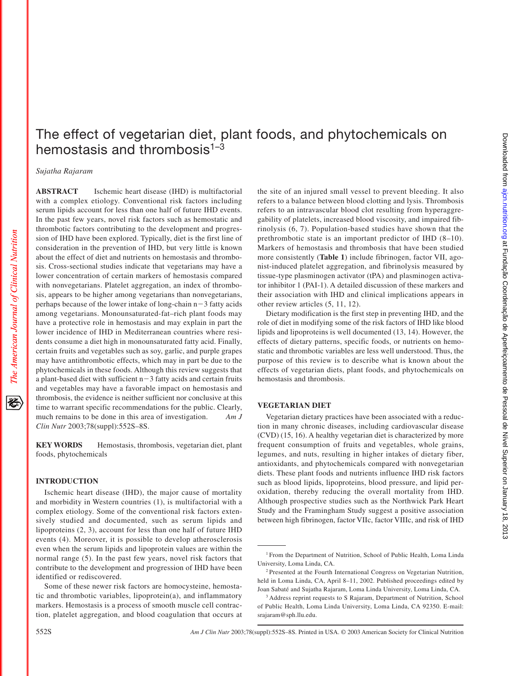# The effect of vegetarian diet, plant foods, and phytochemicals on hemostasis and thrombosis $1-3$

*Sujatha Rajaram*

The American Journal of Clinical Nutrition

移

**ABSTRACT** Ischemic heart disease (IHD) is multifactorial with a complex etiology. Conventional risk factors including serum lipids account for less than one half of future IHD events. In the past few years, novel risk factors such as hemostatic and thrombotic factors contributing to the development and progression of IHD have been explored. Typically, diet is the first line of consideration in the prevention of IHD, but very little is known about the effect of diet and nutrients on hemostasis and thrombosis. Cross-sectional studies indicate that vegetarians may have a lower concentration of certain markers of hemostasis compared with nonvegetarians. Platelet aggregation, an index of thrombosis, appears to be higher among vegetarians than nonvegetarians, perhaps because of the lower intake of long-chain n-3 fatty acids among vegetarians. Monounsaturated-fat–rich plant foods may have a protective role in hemostasis and may explain in part the lower incidence of IHD in Mediterranean countries where residents consume a diet high in monounsaturated fatty acid. Finally, certain fruits and vegetables such as soy, garlic, and purple grapes may have antithrombotic effects, which may in part be due to the phytochemicals in these foods. Although this review suggests that a plant-based diet with sufficient n-3 fatty acids and certain fruits and vegetables may have a favorable impact on hemostasis and thrombosis, the evidence is neither sufficient nor conclusive at this time to warrant specific recommendations for the public. Clearly, much remains to be done in this area of investigation. *Am J Clin Nutr* 2003;78(suppl):552S–8S.

**KEY WORDS** Hemostasis, thrombosis, vegetarian diet, plant foods, phytochemicals

# **INTRODUCTION**

Ischemic heart disease (IHD), the major cause of mortality and morbidity in Western countries (1), is multifactorial with a complex etiology. Some of the conventional risk factors extensively studied and documented, such as serum lipids and lipoproteins (2, 3), account for less than one half of future IHD events (4). Moreover, it is possible to develop atherosclerosis even when the serum lipids and lipoprotein values are within the normal range (5). In the past few years, novel risk factors that contribute to the development and progression of IHD have been identified or rediscovered.

Some of these newer risk factors are homocysteine, hemostatic and thrombotic variables, lipoprotein(a), and inflammatory markers. Hemostasis is a process of smooth muscle cell contraction, platelet aggregation, and blood coagulation that occurs at the site of an injured small vessel to prevent bleeding. It also refers to a balance between blood clotting and lysis. Thrombosis refers to an intravascular blood clot resulting from hyperaggregability of platelets, increased blood viscosity, and impaired fibrinolysis (6, 7). Population-based studies have shown that the prethrombotic state is an important predictor of IHD (8–10). Markers of hemostasis and thrombosis that have been studied more consistently (**Table 1**) include fibrinogen, factor VII, agonist-induced platelet aggregation, and fibrinolysis measured by tissue-type plasminogen activator (tPA) and plasminogen activator inhibitor 1 (PAI-1). A detailed discussion of these markers and their association with IHD and clinical implications appears in other review articles (5, 11, 12).

Dietary modification is the first step in preventing IHD, and the role of diet in modifying some of the risk factors of IHD like blood lipids and lipoproteins is well documented (13, 14). However, the effects of dietary patterns, specific foods, or nutrients on hemostatic and thrombotic variables are less well understood. Thus, the purpose of this review is to describe what is known about the effects of vegetarian diets, plant foods, and phytochemicals on hemostasis and thrombosis.

# **VEGETARIAN DIET**

Vegetarian dietary practices have been associated with a reduction in many chronic diseases, including cardiovascular disease (CVD) (15, 16). A healthy vegetarian diet is characterized by more frequent consumption of fruits and vegetables, whole grains, legumes, and nuts, resulting in higher intakes of dietary fiber, antioxidants, and phytochemicals compared with nonvegetarian diets. These plant foods and nutrients influence IHD risk factors such as blood lipids, lipoproteins, blood pressure, and lipid peroxidation, thereby reducing the overall mortality from IHD. Although prospective studies such as the Northwick Park Heart Study and the Framingham Study suggest a positive association between high fibrinogen, factor VIIc, factor VIIIc, and risk of IHD

<sup>&</sup>lt;sup>1</sup> From the Department of Nutrition, School of Public Health, Loma Linda University, Loma Linda, CA.

<sup>2</sup> Presented at the Fourth International Congress on Vegetarian Nutrition, held in Loma Linda, CA, April 8–11, 2002. Published proceedings edited by Joan Sabaté and Sujatha Rajaram, Loma Linda University, Loma Linda, CA.

<sup>&</sup>lt;sup>3</sup> Address reprint requests to S Rajaram, Department of Nutrition, School of Public Health, Loma Linda University, Loma Linda, CA 92350. E-mail: srajaram@sph.llu.edu.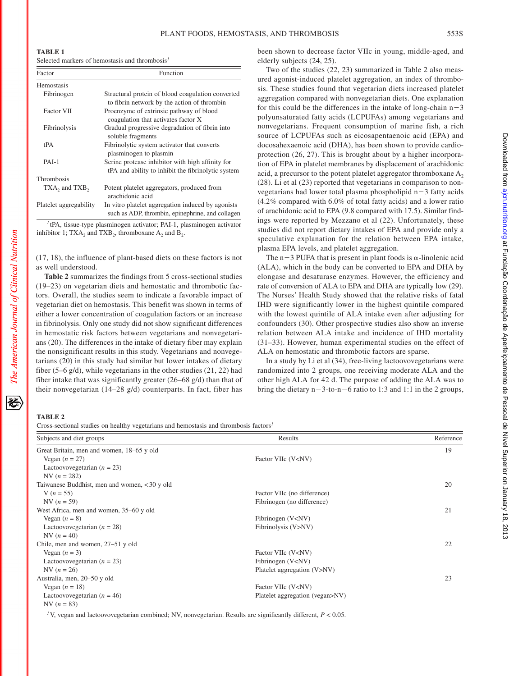| TABLE I |  |  |                                                   |
|---------|--|--|---------------------------------------------------|
|         |  |  | Selected markers of hemostasis and thrombosis $I$ |

**TABLE** 

| Factor                 | Function                                                                                               |  |  |
|------------------------|--------------------------------------------------------------------------------------------------------|--|--|
| Hemostasis             |                                                                                                        |  |  |
| Fibrinogen             | Structural protein of blood coagulation converted<br>to fibrin network by the action of thrombin       |  |  |
| <b>Factor VII</b>      | Proenzyme of extrinsic pathway of blood<br>coagulation that activates factor X                         |  |  |
| Fibrinolysis           | Gradual progressive degradation of fibrin into<br>soluble fragments                                    |  |  |
| tPA                    | Fibrinolytic system activator that converts<br>plasminogen to plasmin                                  |  |  |
| $PAI-1$                | Serine protease inhibitor with high affinity for<br>tPA and ability to inhibit the fibrinolytic system |  |  |
| Thrombosis             |                                                                                                        |  |  |
| $TXA$ , and $TXB$ ,    | Potent platelet aggregators, produced from<br>arachidonic acid                                         |  |  |
| Platelet aggregability | In vitro platelet aggregation induced by agonists<br>such as ADP, thrombin, epinephrine, and collagen  |  |  |

*<sup>1</sup>* tPA, tissue-type plasminogen activator; PAI-1, plasminogen activator inhibitor 1; TXA<sub>2</sub> and TXB<sub>2</sub>, thromboxane A<sub>2</sub> and B<sub>2</sub>.

(17, 18), the influence of plant-based diets on these factors is not as well understood.

**Table 2** summarizes the findings from 5 cross-sectional studies (19–23) on vegetarian diets and hemostatic and thrombotic factors. Overall, the studies seem to indicate a favorable impact of vegetarian diet on hemostasis. This benefit was shown in terms of either a lower concentration of coagulation factors or an increase in fibrinolysis. Only one study did not show significant differences in hemostatic risk factors between vegetarians and nonvegetarians (20). The differences in the intake of dietary fiber may explain the nonsignificant results in this study. Vegetarians and nonvegetarians (20) in this study had similar but lower intakes of dietary fiber (5–6 g/d), while vegetarians in the other studies (21, 22) had fiber intake that was significantly greater (26–68 g/d) than that of their nonvegetarian (14–28 g/d) counterparts. In fact, fiber has

been shown to decrease factor VIIc in young, middle-aged, and elderly subjects (24, 25).

Two of the studies (22, 23) summarized in Table 2 also measured agonist-induced platelet aggregation, an index of thrombosis. These studies found that vegetarian diets increased platelet aggregation compared with nonvegetarian diets. One explanation for this could be the differences in the intake of long-chain  $n-3$ polyunsaturated fatty acids (LCPUFAs) among vegetarians and nonvegetarians. Frequent consumption of marine fish, a rich source of LCPUFAs such as eicosapentaenoic acid (EPA) and docosahexaenoic acid (DHA), has been shown to provide cardioprotection (26, 27). This is brought about by a higher incorporation of EPA in platelet membranes by displacement of arachidonic acid, a precursor to the potent platelet aggregator thromboxane  $A<sub>2</sub>$ (28). Li et al (23) reported that vegetarians in comparison to nonvegetarians had lower total plasma phospholipid n-3 fatty acids (4.2% compared with 6.0% of total fatty acids) and a lower ratio of arachidonic acid to EPA (9.8 compared with 17.5). Similar findings were reported by Mezzano et al (22). Unfortunately, these studies did not report dietary intakes of EPA and provide only a speculative explanation for the relation between EPA intake, plasma EPA levels, and platelet aggregation.

The  $n-3$  PUFA that is present in plant foods is  $\alpha$ -linolenic acid (ALA), which in the body can be converted to EPA and DHA by elongase and desaturase enzymes. However, the efficiency and rate of conversion of ALA to EPA and DHA are typically low (29). The Nurses' Health Study showed that the relative risks of fatal IHD were significantly lower in the highest quintile compared with the lowest quintile of ALA intake even after adjusting for confounders (30). Other prospective studies also show an inverse relation between ALA intake and incidence of IHD mortality (31–33). However, human experimental studies on the effect of ALA on hemostatic and thrombotic factors are sparse.

In a study by Li et al (34), free-living lactoovovegetarians were randomized into 2 groups, one receiving moderate ALA and the other high ALA for 42 d. The purpose of adding the ALA was to bring the dietary  $n-3$ -to-n $-6$  ratio to 1:3 and 1:1 in the 2 groups,

Cross-sectional studies on healthy vegetarians and hemostasis and thrombosis factors*<sup>1</sup>*

| Subjects and diet groups                        | Results                                     | Reference |
|-------------------------------------------------|---------------------------------------------|-----------|
| Great Britain, men and women, 18–65 y old       |                                             | 19        |
| Vegan $(n = 27)$                                | Factor VIIc (V <nv)< td=""><td></td></nv)<> |           |
| Lactoovovegetarian $(n = 23)$                   |                                             |           |
| NV $(n = 282)$                                  |                                             |           |
| Taiwanese Buddhist, men and women, $<$ 30 y old |                                             | 20        |
| $V(n = 55)$                                     | Factor VIIc (no difference)                 |           |
| NV $(n = 59)$                                   | Fibrinogen (no difference)                  |           |
| West Africa, men and women, 35–60 y old         | 21                                          |           |
| Vegan $(n = 8)$                                 | Fibrinogen (V <nv)< td=""><td></td></nv)<>  |           |
| Lactoovovegetarian $(n = 28)$                   | Fibrinolysis (V>NV)                         |           |
| NV $(n = 40)$                                   |                                             |           |
| Chile, men and women, 27–51 y old               |                                             | 22        |
| Vegan $(n = 3)$                                 | Factor VIIc (V <nv)< td=""><td></td></nv)<> |           |
| Lactoovovegetarian $(n = 23)$                   | Fibrinogen (V <nv)< td=""><td></td></nv)<>  |           |
| NV $(n = 26)$                                   | Platelet aggregation (V>NV)                 |           |
| Australia, men, 20–50 y old                     |                                             | 23        |
| Vegan $(n = 18)$                                | Factor VIIc (V <nv)< td=""><td></td></nv)<> |           |
| Lactoovovegetarian $(n = 46)$                   | Platelet aggregation (vegan>NV)             |           |
| NV $(n = 83)$                                   |                                             |           |

<sup>1</sup>V, vegan and lactoovovegetarian combined; NV, nonvegetarian. Results are significantly different,  $P < 0.05$ .

Downloaded from ajcn.nutrition.org at Fundação Coordenação de Aperfeiçoamento de Pessoal de Nível Superior on January 18, 2013 Downloaded from [ajcn.nutrition.org](http://ajcn.nutrition.org/) at Fundação Coordenação de Aperfeiçoamento de Pessoal de Nível Superior on January 18, 2013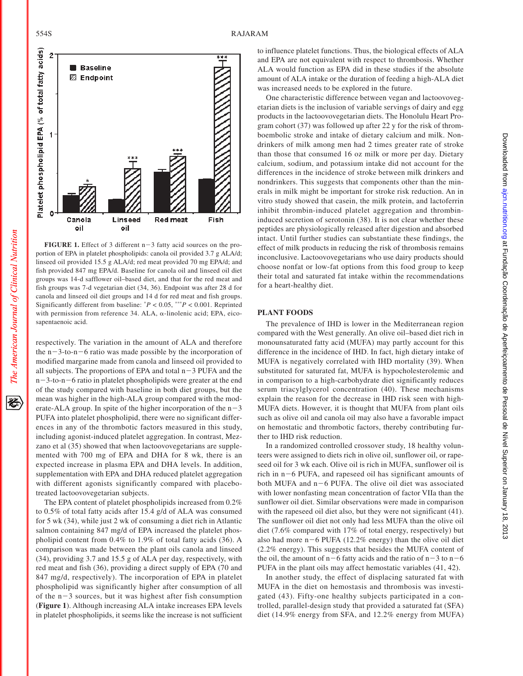

**FIGURE 1.** Effect of 3 different  $n-3$  fatty acid sources on the proportion of EPA in platelet phospholipids: canola oil provided 3.7 g ALA/d; linseed oil provided 15.5 g ALA/d; red meat provided 70 mg EPA/d; and fish provided 847 mg EPA/d. Baseline for canola oil and linseed oil diet groups was 14-d safflower oil–based diet, and that for the red meat and fish groups was 7-d vegetarian diet (34, 36). Endpoint was after 28 d for canola and linseed oil diet groups and 14 d for red meat and fish groups. Significantly different from baseline:  $P < 0.05$ ,  $***P < 0.001$ . Reprinted with permission from reference 34. ALA,  $\alpha$ -linolenic acid; EPA, eicosapentaenoic acid.

respectively. The variation in the amount of ALA and therefore the  $n-3$ -to- $n-6$  ratio was made possible by the incorporation of modified margarine made from canola and linseed oil provided to all subjects. The proportions of EPA and total  $n-3$  PUFA and the n-3-to-n-6 ratio in platelet phospholipids were greater at the end of the study compared with baseline in both diet groups, but the mean was higher in the high-ALA group compared with the moderate-ALA group. In spite of the higher incorporation of the  $n-3$ PUFA into platelet phospholipid, there were no significant differences in any of the thrombotic factors measured in this study, including agonist-induced platelet aggregation. In contrast, Mezzano et al (35) showed that when lactoovovegetarians are supplemented with 700 mg of EPA and DHA for 8 wk, there is an expected increase in plasma EPA and DHA levels. In addition, supplementation with EPA and DHA reduced platelet aggregation with different agonists significantly compared with placebotreated lactoovovegetarian subjects.

The EPA content of platelet phospholipids increased from 0.2% to 0.5% of total fatty acids after 15.4 g/d of ALA was consumed for 5 wk (34), while just 2 wk of consuming a diet rich in Atlantic salmon containing 847 mg/d of EPA increased the platelet phospholipid content from 0.4% to 1.9% of total fatty acids (36). A comparison was made between the plant oils canola and linseed (34), providing 3.7 and 15.5 g of ALA per day, respectively, with red meat and fish (36), providing a direct supply of EPA (70 and 847 mg/d, respectively). The incorporation of EPA in platelet phospholipid was significantly higher after consumption of all of the n-3 sources, but it was highest after fish consumption (**Figure 1**). Although increasing ALA intake increases EPA levels in platelet phospholipids, it seems like the increase is not sufficient to influence platelet functions. Thus, the biological effects of ALA and EPA are not equivalent with respect to thrombosis. Whether ALA would function as EPA did in these studies if the absolute amount of ALA intake or the duration of feeding a high-ALA diet was increased needs to be explored in the future.

One characteristic difference between vegan and lactoovovegetarian diets is the inclusion of variable servings of dairy and egg products in the lactoovovegetarian diets. The Honolulu Heart Program cohort (37) was followed up after 22 y for the risk of thromboembolic stroke and intake of dietary calcium and milk. Nondrinkers of milk among men had 2 times greater rate of stroke than those that consumed 16 oz milk or more per day. Dietary calcium, sodium, and potassium intake did not account for the differences in the incidence of stroke between milk drinkers and nondrinkers. This suggests that components other than the minerals in milk might be important for stroke risk reduction. An in vitro study showed that casein, the milk protein, and lactoferrin inhibit thrombin-induced platelet aggregation and thrombininduced secretion of serotonin (38). It is not clear whether these peptides are physiologically released after digestion and absorbed intact. Until further studies can substantiate these findings, the effect of milk products in reducing the risk of thrombosis remains inconclusive. Lactoovovegetarians who use dairy products should choose nonfat or low-fat options from this food group to keep their total and saturated fat intake within the recommendations for a heart-healthy diet.

#### **PLANT FOODS**

The prevalence of IHD is lower in the Mediterranean region compared with the West generally. An olive oil–based diet rich in monounsaturated fatty acid (MUFA) may partly account for this difference in the incidence of IHD. In fact, high dietary intake of MUFA is negatively correlated with IHD mortality (39). When substituted for saturated fat, MUFA is hypocholesterolemic and in comparison to a high-carbohydrate diet significantly reduces serum triacylglycerol concentration (40). These mechanisms explain the reason for the decrease in IHD risk seen with high-MUFA diets. However, it is thought that MUFA from plant oils such as olive oil and canola oil may also have a favorable impact on hemostatic and thrombotic factors, thereby contributing further to IHD risk reduction.

In a randomized controlled crossover study, 18 healthy volunteers were assigned to diets rich in olive oil, sunflower oil, or rapeseed oil for 3 wk each. Olive oil is rich in MUFA, sunflower oil is rich in n-6 PUFA, and rapeseed oil has significant amounts of both MUFA and n-6 PUFA. The olive oil diet was associated with lower nonfasting mean concentration of factor VIIa than the sunflower oil diet. Similar observations were made in comparison with the rapeseed oil diet also, but they were not significant (41). The sunflower oil diet not only had less MUFA than the olive oil diet (7.6% compared with 17% of total energy, respectively) but also had more n-6 PUFA (12.2% energy) than the olive oil diet (2.2% energy). This suggests that besides the MUFA content of the oil, the amount of  $n-6$  fatty acids and the ratio of  $n-3$  to  $n-6$ PUFA in the plant oils may affect hemostatic variables (41, 42).

In another study, the effect of displacing saturated fat with MUFA in the diet on hemostasis and thrombosis was investigated (43). Fifty-one healthy subjects participated in a controlled, parallel-design study that provided a saturated fat (SFA) diet (14.9% energy from SFA, and 12.2% energy from MUFA)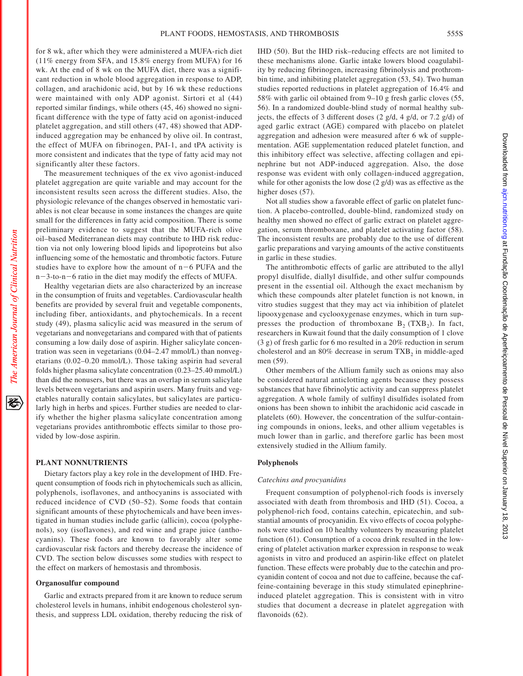for 8 wk, after which they were administered a MUFA-rich diet (11% energy from SFA, and 15.8% energy from MUFA) for 16 wk. At the end of 8 wk on the MUFA diet, there was a significant reduction in whole blood aggregation in response to ADP, collagen, and arachidonic acid, but by 16 wk these reductions were maintained with only ADP agonist. Sirtori et al (44) reported similar findings, while others (45, 46) showed no significant difference with the type of fatty acid on agonist-induced platelet aggregation, and still others (47, 48) showed that ADPinduced aggregation may be enhanced by olive oil. In contrast, the effect of MUFA on fibrinogen, PAI-1, and tPA activity is more consistent and indicates that the type of fatty acid may not significantly alter these factors.

The measurement techniques of the ex vivo agonist-induced platelet aggregation are quite variable and may account for the inconsistent results seen across the different studies. Also, the physiologic relevance of the changes observed in hemostatic variables is not clear because in some instances the changes are quite small for the differences in fatty acid composition. There is some preliminary evidence to suggest that the MUFA-rich olive oil–based Mediterranean diets may contribute to IHD risk reduction via not only lowering blood lipids and lipoproteins but also influencing some of the hemostatic and thrombotic factors. Future studies have to explore how the amount of n-6 PUFA and the n-3-to-n-6 ratio in the diet may modify the effects of MUFA.

Healthy vegetarian diets are also characterized by an increase in the consumption of fruits and vegetables. Cardiovascular health benefits are provided by several fruit and vegetable components, including fiber, antioxidants, and phytochemicals. In a recent study (49), plasma salicylic acid was measured in the serum of vegetarians and nonvegetarians and compared with that of patients consuming a low daily dose of aspirin. Higher salicylate concentration was seen in vegetarians (0.04–2.47 mmol/L) than nonvegetarians (0.02–0.20 mmol/L). Those taking aspirin had several folds higher plasma salicylate concentration (0.23–25.40 mmol/L) than did the nonusers, but there was an overlap in serum salicylate levels between vegetarians and aspirin users. Many fruits and vegetables naturally contain salicylates, but salicylates are particularly high in herbs and spices. Further studies are needed to clarify whether the higher plasma salicylate concentration among vegetarians provides antithrombotic effects similar to those provided by low-dose aspirin.

## **PLANT NONNUTRIENTS**

The American Journal of Clinical Nutrition

袳

Dietary factors play a key role in the development of IHD. Frequent consumption of foods rich in phytochemicals such as allicin, polyphenols, isoflavones, and anthocyanins is associated with reduced incidence of CVD (50–52). Some foods that contain significant amounts of these phytochemicals and have been investigated in human studies include garlic (allicin), cocoa (polyphenols), soy (isoflavones), and red wine and grape juice (anthocyanins). These foods are known to favorably alter some cardiovascular risk factors and thereby decrease the incidence of CVD. The section below discusses some studies with respect to the effect on markers of hemostasis and thrombosis.

#### **Organosulfur compound**

Garlic and extracts prepared from it are known to reduce serum cholesterol levels in humans, inhibit endogenous cholesterol synthesis, and suppress LDL oxidation, thereby reducing the risk of IHD (50). But the IHD risk–reducing effects are not limited to these mechanisms alone. Garlic intake lowers blood coagulability by reducing fibrinogen, increasing fibrinolysis and prothrombin time, and inhibiting platelet aggregation (53, 54). Two human studies reported reductions in platelet aggregation of 16.4% and 58% with garlic oil obtained from 9–10 g fresh garlic cloves (55, 56). In a randomized double-blind study of normal healthy subjects, the effects of 3 different doses  $(2 \text{ g/d}, 4 \text{ g/d}, \text{ or } 7.2 \text{ g/d})$  of aged garlic extract (AGE) compared with placebo on platelet aggregation and adhesion were measured after 6 wk of supplementation. AGE supplementation reduced platelet function, and this inhibitory effect was selective, affecting collagen and epinephrine but not ADP-induced aggregation. Also, the dose response was evident with only collagen-induced aggregation, while for other agonists the low dose  $(2 \text{ g/d})$  was as effective as the higher doses  $(57)$ .

Not all studies show a favorable effect of garlic on platelet function. A placebo-controlled, double-blind, randomized study on healthy men showed no effect of garlic extract on platelet aggregation, serum thromboxane, and platelet activating factor (58). The inconsistent results are probably due to the use of different garlic preparations and varying amounts of the active constituents in garlic in these studies.

The antithrombotic effects of garlic are attributed to the allyl propyl disulfide, diallyl disulfide, and other sulfur compounds present in the essential oil. Although the exact mechanism by which these compounds alter platelet function is not known, in vitro studies suggest that they may act via inhibition of platelet lipooxygenase and cyclooxygenase enzymes, which in turn suppresses the production of thromboxane  $B_2$  (TXB<sub>2</sub>). In fact, researchers in Kuwait found that the daily consumption of 1 clove (3 g) of fresh garlic for 6 mo resulted in a 20% reduction in serum cholesterol and an 80% decrease in serum TXB<sub>2</sub> in middle-aged men (59).

Other members of the Allium family such as onions may also be considered natural anticlotting agents because they possess substances that have fibrinolytic activity and can suppress platelet aggregation. A whole family of sulfinyl disulfides isolated from onions has been shown to inhibit the arachidonic acid cascade in platelets (60). However, the concentration of the sulfur-containing compounds in onions, leeks, and other allium vegetables is much lower than in garlic, and therefore garlic has been most extensively studied in the Allium family.

## **Polyphenols**

#### *Catechins and procyanidins*

Frequent consumption of polyphenol-rich foods is inversely associated with death from thrombosis and IHD (51). Cocoa, a polyphenol-rich food, contains catechin, epicatechin, and substantial amounts of procyanidin. Ex vivo effects of cocoa polyphenols were studied on 10 healthy volunteers by measuring platelet function (61). Consumption of a cocoa drink resulted in the lowering of platelet activation marker expression in response to weak agonists in vitro and produced an aspirin-like effect on platelet function. These effects were probably due to the catechin and procyanidin content of cocoa and not due to caffeine, because the caffeine-containing beverage in this study stimulated epinephrineinduced platelet aggregation. This is consistent with in vitro studies that document a decrease in platelet aggregation with flavonoids (62).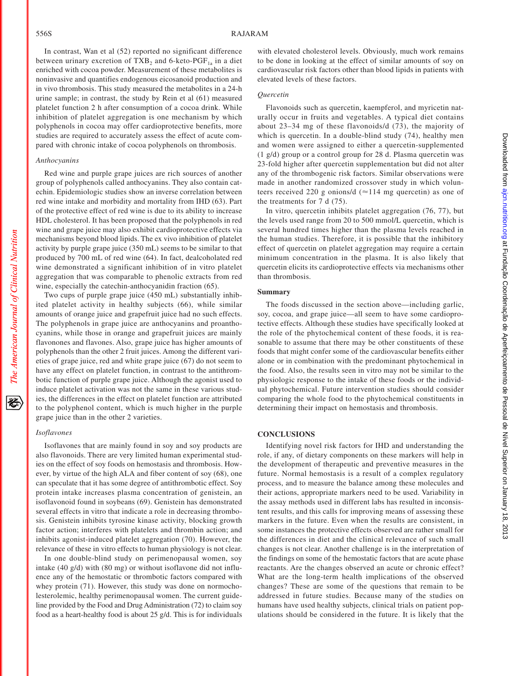In contrast, Wan et al (52) reported no significant difference between urinary excretion of  $TXB_2$  and 6-keto-PGF<sub>1a</sub> in a diet enriched with cocoa powder. Measurement of these metabolites is noninvasive and quantifies endogenous eicosanoid production and in vivo thrombosis. This study measured the metabolites in a 24-h urine sample; in contrast, the study by Rein et al (61) measured platelet function 2 h after consumption of a cocoa drink. While inhibition of platelet aggregation is one mechanism by which polyphenols in cocoa may offer cardioprotective benefits, more studies are required to accurately assess the effect of acute compared with chronic intake of cocoa polyphenols on thrombosis.

#### *Anthocyanins*

Red wine and purple grape juices are rich sources of another group of polyphenols called anthocyanins. They also contain catechin. Epidemiologic studies show an inverse correlation between red wine intake and morbidity and mortality from IHD (63). Part of the protective effect of red wine is due to its ability to increase HDL cholesterol. It has been proposed that the polyphenols in red wine and grape juice may also exhibit cardioprotective effects via mechanisms beyond blood lipids. The ex vivo inhibition of platelet activity by purple grape juice (350 mL) seems to be similar to that produced by 700 mL of red wine (64). In fact, dealcoholated red wine demonstrated a significant inhibition of in vitro platelet aggregation that was comparable to phenolic extracts from red wine, especially the catechin-anthocyanidin fraction (65).

Two cups of purple grape juice (450 mL) substantially inhibited platelet activity in healthy subjects (66), while similar amounts of orange juice and grapefruit juice had no such effects. The polyphenols in grape juice are anthocyanins and proanthocyanins, while those in orange and grapefruit juices are mainly flavonones and flavones. Also, grape juice has higher amounts of polyphenols than the other 2 fruit juices. Among the different varieties of grape juice, red and white grape juice (67) do not seem to have any effect on platelet function, in contrast to the antithrombotic function of purple grape juice. Although the agonist used to induce platelet activation was not the same in these various studies, the differences in the effect on platelet function are attributed to the polyphenol content, which is much higher in the purple grape juice than in the other 2 varieties.

#### *Isoflavones*

The American Journal of Clinical Nutrition

袳

Isoflavones that are mainly found in soy and soy products are also flavonoids. There are very limited human experimental studies on the effect of soy foods on hemostasis and thrombosis. However, by virtue of the high ALA and fiber content of soy (68), one can speculate that it has some degree of antithrombotic effect. Soy protein intake increases plasma concentration of genistein, an isoflavonoid found in soybeans (69). Genistein has demonstrated several effects in vitro that indicate a role in decreasing thrombosis. Genistein inhibits tyrosine kinase activity, blocking growth factor action; interferes with platelets and thrombin action; and inhibits agonist-induced platelet aggregation (70). However, the relevance of these in vitro effects to human physiology is not clear.

In one double-blind study on perimenopausal women, soy intake (40 g/d) with (80 mg) or without isoflavone did not influence any of the hemostatic or thrombotic factors compared with whey protein (71). However, this study was done on normocholesterolemic, healthy perimenopausal women. The current guideline provided by the Food and Drug Administration (72) to claim soy food as a heart-healthy food is about 25 g/d. This is for individuals

with elevated cholesterol levels. Obviously, much work remains to be done in looking at the effect of similar amounts of soy on cardiovascular risk factors other than blood lipids in patients with elevated levels of these factors.

#### *Quercetin*

Flavonoids such as quercetin, kaempferol, and myricetin naturally occur in fruits and vegetables. A typical diet contains about 23–34 mg of these flavonoids/d (73), the majority of which is quercetin. In a double-blind study (74), healthy men and women were assigned to either a quercetin-supplemented (1 g/d) group or a control group for 28 d. Plasma quercetin was 23-fold higher after quercetin supplementation but did not alter any of the thrombogenic risk factors. Similar observations were made in another randomized crossover study in which volunteers received 220 g onions/d ( $\approx$ 114 mg quercetin) as one of the treatments for 7 d (75).

In vitro, quercetin inhibits platelet aggregation (76, 77), but the levels used range from 20 to 500 mmol/L quercetin, which is several hundred times higher than the plasma levels reached in the human studies. Therefore, it is possible that the inhibitory effect of quercetin on platelet aggregation may require a certain minimum concentration in the plasma. It is also likely that quercetin elicits its cardioprotective effects via mechanisms other than thrombosis.

#### **Summary**

The foods discussed in the section above—including garlic, soy, cocoa, and grape juice—all seem to have some cardioprotective effects. Although these studies have specifically looked at the role of the phytochemical content of these foods, it is reasonable to assume that there may be other constituents of these foods that might confer some of the cardiovascular benefits either alone or in combination with the predominant phytochemical in the food. Also, the results seen in vitro may not be similar to the physiologic response to the intake of these foods or the individual phytochemical. Future intervention studies should consider comparing the whole food to the phytochemical constituents in determining their impact on hemostasis and thrombosis.

#### **CONCLUSIONS**

Identifying novel risk factors for IHD and understanding the role, if any, of dietary components on these markers will help in the development of therapeutic and preventive measures in the future. Normal hemostasis is a result of a complex regulatory process, and to measure the balance among these molecules and their actions, appropriate markers need to be used. Variability in the assay methods used in different labs has resulted in inconsistent results, and this calls for improving means of assessing these markers in the future. Even when the results are consistent, in some instances the protective effects observed are rather small for the differences in diet and the clinical relevance of such small changes is not clear. Another challenge is in the interpretation of the findings on some of the hemostatic factors that are acute phase reactants. Are the changes observed an acute or chronic effect? What are the long-term health implications of the observed changes? These are some of the questions that remain to be addressed in future studies. Because many of the studies on humans have used healthy subjects, clinical trials on patient populations should be considered in the future. It is likely that the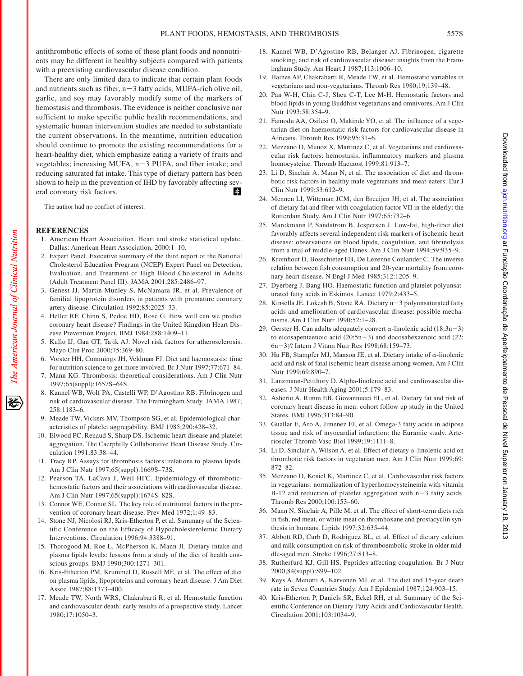antithrombotic effects of some of these plant foods and nonnutrients may be different in healthy subjects compared with patients with a preexisting cardiovascular disease condition.

There are only limited data to indicate that certain plant foods and nutrients such as fiber, n-3 fatty acids, MUFA-rich olive oil, garlic, and soy may favorably modify some of the markers of hemostasis and thrombosis. The evidence is neither conclusive nor sufficient to make specific public health recommendations, and systematic human intervention studies are needed to substantiate the current observations. In the meantime, nutrition education should continue to promote the existing recommendations for a heart-healthy diet, which emphasize eating a variety of fruits and vegetables; increasing MUFA, n-3 PUFA, and fiber intake; and reducing saturated fat intake. This type of dietary pattern has been shown to help in the prevention of IHD by favorably affecting several coronary risk factors. k.

The author had no conflict of interest.

#### **REFERENCES**

- 1. American Heart Association. Heart and stroke statistical update. Dallas: American Heart Association, 2000:1–10.
- 2. Expert Panel. Executive summary of the third report of the National Cholesterol Education Program (NCEP) Expert Panel on Detection, Evaluation, and Treatment of High Blood Cholesterol in Adults (Adult Treatment Panel III). JAMA 2001;285:2486–97.
- 3. Genest JJ, Martin-Munley S, McNamara JR, et al. Prevalence of familial lipoprotein disorders in patients with premature coronary artery disease. Circulation 1992;85:2025–33.
- 4. Heller RF, Chinn S, Pedoe HD, Rose G. How well can we predict coronary heart disease? Findings in the United Kingdom Heart Disease Prevention Project. BMJ 1984;288:1409–11.
- 5. Kullo IJ, Gau GT, Tajik AJ. Novel risk factors for atherosclerosis. Mayo Clin Proc 2000;75:369–80.
- 6. Vorster HH, Cummings JH, Veldman FJ. Diet and haemostasis: time for nutrition science to get more involved. Br J Nutr 1997;77:671–84.
- 7. Mann KG. Thrombosis: theoretical considerations. Am J Clin Nutr 1997;65(suppl):1657S–64S.
- 8. Kannel WB, Wolf PA, Castelli WP, D'Agostino RB. Fibrinogen and risk of cardiovascular disease. The Framingham Study. JAMA 1987; 258:1183–6.
- 9. Meade TW, Vickers MV, Thompson SG, et al. Epidemiological characteristics of platelet aggregability. BMJ 1985;290:428–32.
- 10. Elwood PC, Renaud S, Sharp DS. Ischemic heart disease and platelet aggregation. The Caerphilly Collaborative Heart Disease Study. Circulation 1991;83:38–44.
- 11. Tracy RP. Assays for thrombosis factors: relations to plasma lipids. Am J Clin Nutr 1997;65(suppl):1669S–73S.
- 12. Pearson TA, LaCava J, Weil HFC. Epidemiology of thrombotichemostatic factors and their associations with cardiovascular disease. Am J Clin Nutr 1997;65(suppl):1674S–82S.
- 13. Connor WE, Connor SL. The key role of nutritional factors in the prevention of coronary heart disease. Prev Med 1972;1:49–83.
- 14. Stone NJ, Nicolosi RJ, Kris-Etherton P, et al. Summary of the Scientific Conference on the Efficacy of Hypocholesterolemic Dietary Interventions. Circulation 1996;94:3388–91.
- 15. Thorogood M, Roe L, McPherson K, Mann JI. Dietary intake and plasma lipids levels: lessons from a study of the diet of health conscious groups. BMJ 1990;300:1271–301.
- 16. Kris-Etherton PM, Krummel D, Russell ME, et al. The effect of diet on plasma lipids, lipoproteins and coronary heart disease. J Am Diet Assoc 1987;88:1373–400.
- 17. Meade TW, North WRS, Chakrabarti R, et al. Hemostatic function and cardiovascular death: early results of a prospective study. Lancet 1980;17:1050–3.
- 18. Kannel WB, D'Agostino RB, Belanger AJ. Fibrinogen, cigarette smoking, and risk of cardiovascular disease: insights from the Framingham Study. Am Heart J 1987;113:1006–10.
- 19. Haines AP, Chakrabarti R, Meade TW, et al. Hemostatic variables in vegetarians and non-vegetarians. Thromb Res 1980;19:139–48.
- 20. Pan W-H, Chin C-J, Sheu C-T, Lee M-H. Hemostatic factors and blood lipids in young Buddhist vegetarians and omnivores. Am J Clin Nutr 1993;58:354–9.
- 21. Famodu AA, Osilesi O, Makinde YO, et al. The influence of a vegetarian diet on haemostatic risk factors for cardiovascular disease in Africans. Thromb Res 1999;95:31–6.
- 22. Mezzano D, Munoz X, Martinez C, et al. Vegetarians and cardiovascular risk factors: hemostasis, inflammatory markers and plasma homocysteine. Thromb Haemost 1999;81:913-7.
- 23. Li D, Sinclair A, Mann N, et al. The association of diet and thrombotic risk factors in healthy male vegetarians and meat-eaters. Eur J Clin Nutr 1999;53:612–9.
- 24. Mennen LI, Witteman JCM, den Breeijen JH, et al. The association of dietary fat and fiber with coagulation factor VII in the elderly: the Rotterdam Study. Am J Clin Nutr 1997;65:732–6.
- 25. Marckmann P, Sandstrom B, Jespersen J. Low-fat, high-fiber diet favorably affects several independent risk markers of ischemic heart disease: observations on blood lipids, coagulation, and fibrinolysis from a trial of middle-aged Danes. Am J Clin Nutr 1994;59:935–9.
- 26. Kromhout D, Bosschieter EB, De Lezenne Coulander C. The inverse relation between fish consumption and 20-year mortality from coronary heart disease. N Engl J Med 1985;312:1205–9.
- 27. Dyerberg J, Bang HO. Haemostatic function and platelet polyunsaturated fatty acids in Eskimos. Lancet 1979;2:433–5.
- 28. Kinsella JE, Lokesh B, Stone RA. Dietary n-3 polyunsaturated fatty acids and amelioration of cardiovascular disease: possible mechanisms. Am J Clin Nutr 1990;52:1–28.
- 29. Gerster H. Can adults adequately convert  $\alpha$ -linolenic acid (18:3n-3) to eicosapentaenoic acid (20:5n-3) and docosahexaenoic acid (22: 6n-3)? Intern J Vitam Nutr Res 1998;68;159–73.
- 30. Hu FB, Stampfer MJ, Manson JE, et al. Dietary intake of  $\alpha$ -linolenic acid and risk of fatal ischemic heart disease among women. Am J Clin Nutr 1999;69:890–7.
- 31. Lanzmann-Petithory D. Alpha-linolenic acid and cardiovascular diseases. J Nutr Health Aging 2001;5:179–83.
- 32. Asherio A, Rimm EB, Giovannucci EL, et al. Dietary fat and risk of coronary heart disease in men: cohort follow up study in the United States. BMJ 1996;313:84–90.
- 33. Guallar E, Aro A, Jimenez FJ, et al. Omega-3 fatty acids in adipose tissue and risk of myocardial infarction: the Euramic study. Arterioscler Thromb Vasc Biol 1999;19:1111–8.
- 34. Li D, Sinclair A, Wilson A, et al. Effect of dietary  $\alpha$ -linolenic acid on thrombotic risk factors in vegetarian men. Am J Clin Nutr 1999;69: 872–82.
- 35. Mezzano D, Kosiel K, Martinez C, et al. Cardiovascular risk factors in vegetarians: normalization of hyperhomocysteinemia with vitamin B-12 and reduction of platelet aggregation with  $n-3$  fatty acids. Thromb Res 2000;100:153–60.
- 36. Mann N, Sinclair A, Pille M, et al. The effect of short-term diets rich in fish, red meat, or white meat on thromboxane and prostacyclin synthesis in humans. Lipids 1997;32:635–44.
- 37. Abbott RD, Curb D, Rodriguez BL, et al. Effect of dietary calcium and milk consumption on risk of thromboembolic stroke in older middle-aged men. Stroke 1996;27:813–8.
- 38. Rutherfurd KJ, Gill HS. Peptides affecting coagulation. Br J Nutr 2000;84(suppl):S99–102.
- 39. Keys A, Menotti A, Karvonen MJ, et al. The diet and 15-year death rate in Seven Countries Study. Am J Epidemiol 1987;124:903–15.
- 40. Kris-Etherton P, Daniels SR, Eckel RH, et al. Summary of the Scientific Conference on Dietary Fatty Acids and Cardiovascular Health. Circulation 2001;103:1034–9.